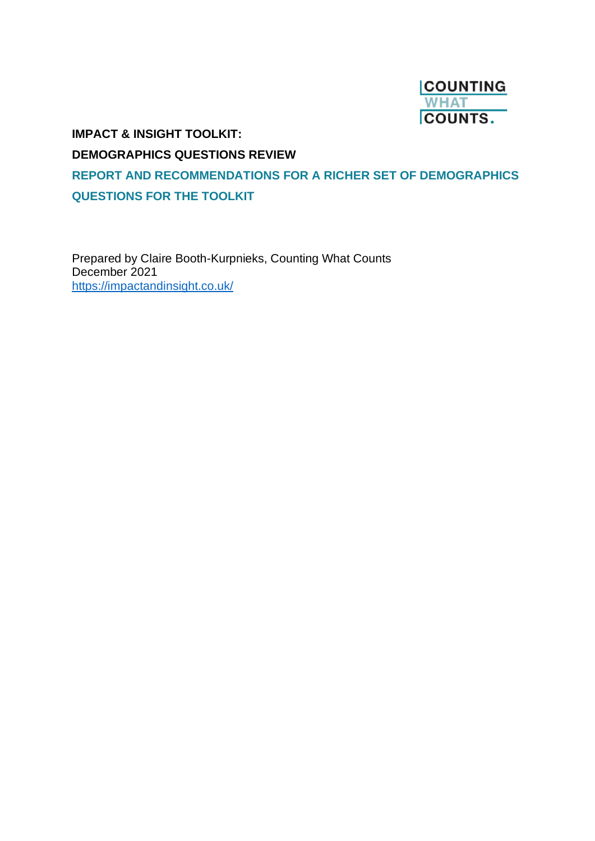

**IMPACT & INSIGHT TOOLKIT:**

**DEMOGRAPHICS QUESTIONS REVIEW** 

**REPORT AND RECOMMENDATIONS FOR A RICHER SET OF DEMOGRAPHICS QUESTIONS FOR THE TOOLKIT**

Prepared by Claire Booth-Kurpnieks, Counting What Counts December 2021 <https://impactandinsight.co.uk/>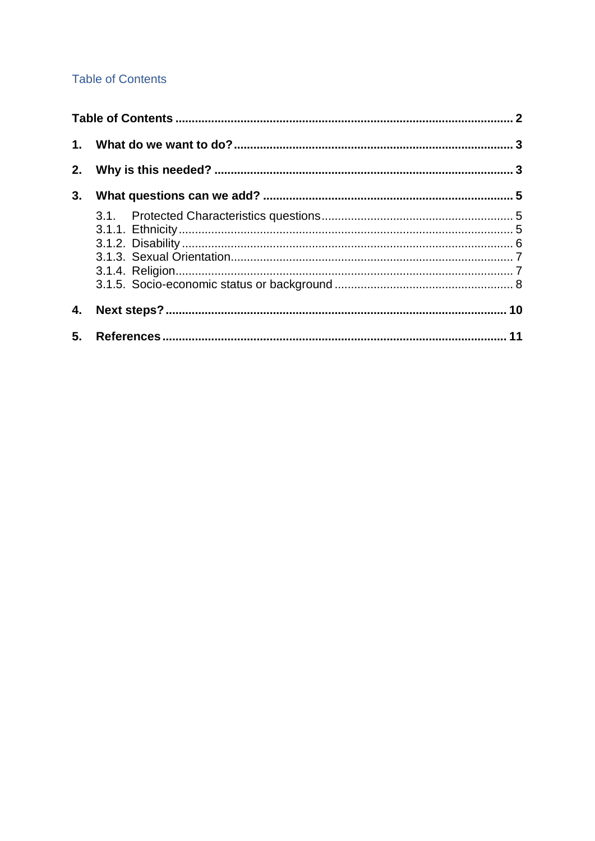# <span id="page-1-0"></span>**Table of Contents**

| 3. |  |
|----|--|
|    |  |
|    |  |
|    |  |
|    |  |
|    |  |
|    |  |
| 4. |  |
|    |  |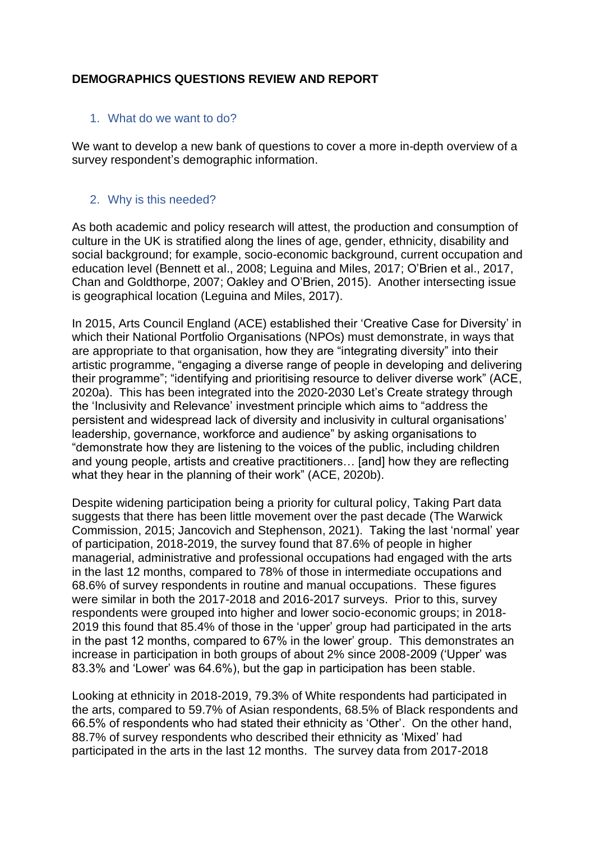# **DEMOGRAPHICS QUESTIONS REVIEW AND REPORT**

### <span id="page-2-0"></span>1. What do we want to do?

We want to develop a new bank of questions to cover a more in-depth overview of a survey respondent's demographic information.

## <span id="page-2-1"></span>2. Why is this needed?

As both academic and policy research will attest, the production and consumption of culture in the UK is stratified along the lines of age, gender, ethnicity, disability and social background; for example, socio-economic background, current occupation and education level (Bennett et al., 2008; Leguina and Miles, 2017; O'Brien et al., 2017, Chan and Goldthorpe, 2007; Oakley and O'Brien, 2015). Another intersecting issue is geographical location (Leguina and Miles, 2017).

In 2015, Arts Council England (ACE) established their 'Creative Case for Diversity' in which their National Portfolio Organisations (NPOs) must demonstrate, in ways that are appropriate to that organisation, how they are "integrating diversity" into their artistic programme, "engaging a diverse range of people in developing and delivering their programme"; "identifying and prioritising resource to deliver diverse work" (ACE, 2020a). This has been integrated into the 2020-2030 Let's Create strategy through the 'Inclusivity and Relevance' investment principle which aims to "address the persistent and widespread lack of diversity and inclusivity in cultural organisations' leadership, governance, workforce and audience" by asking organisations to "demonstrate how they are listening to the voices of the public, including children and young people, artists and creative practitioners… [and] how they are reflecting what they hear in the planning of their work" (ACE, 2020b).

Despite widening participation being a priority for cultural policy, Taking Part data suggests that there has been little movement over the past decade (The Warwick Commission, 2015; Jancovich and Stephenson, 2021). Taking the last 'normal' year of participation, 2018-2019, the survey found that 87.6% of people in higher managerial, administrative and professional occupations had engaged with the arts in the last 12 months, compared to 78% of those in intermediate occupations and 68.6% of survey respondents in routine and manual occupations. These figures were similar in both the 2017-2018 and 2016-2017 surveys. Prior to this, survey respondents were grouped into higher and lower socio-economic groups; in 2018- 2019 this found that 85.4% of those in the 'upper' group had participated in the arts in the past 12 months, compared to 67% in the lower' group. This demonstrates an increase in participation in both groups of about 2% since 2008-2009 ('Upper' was 83.3% and 'Lower' was 64.6%), but the gap in participation has been stable.

Looking at ethnicity in 2018-2019, 79.3% of White respondents had participated in the arts, compared to 59.7% of Asian respondents, 68.5% of Black respondents and 66.5% of respondents who had stated their ethnicity as 'Other'. On the other hand, 88.7% of survey respondents who described their ethnicity as 'Mixed' had participated in the arts in the last 12 months. The survey data from 2017-2018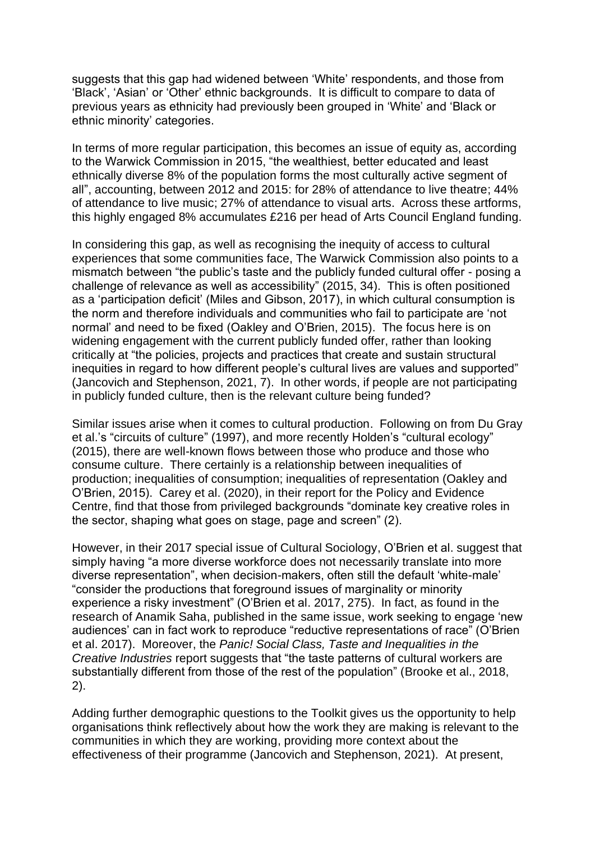suggests that this gap had widened between 'White' respondents, and those from 'Black', 'Asian' or 'Other' ethnic backgrounds. It is difficult to compare to data of previous years as ethnicity had previously been grouped in 'White' and 'Black or ethnic minority' categories.

In terms of more regular participation, this becomes an issue of equity as, according to the Warwick Commission in 2015, "the wealthiest, better educated and least ethnically diverse 8% of the population forms the most culturally active segment of all", accounting, between 2012 and 2015: for 28% of attendance to live theatre; 44% of attendance to live music; 27% of attendance to visual arts. Across these artforms, this highly engaged 8% accumulates £216 per head of Arts Council England funding.

In considering this gap, as well as recognising the inequity of access to cultural experiences that some communities face, The Warwick Commission also points to a mismatch between "the public's taste and the publicly funded cultural offer - posing a challenge of relevance as well as accessibility" (2015, 34). This is often positioned as a 'participation deficit' (Miles and Gibson, 2017), in which cultural consumption is the norm and therefore individuals and communities who fail to participate are 'not normal' and need to be fixed (Oakley and O'Brien, 2015). The focus here is on widening engagement with the current publicly funded offer, rather than looking critically at "the policies, projects and practices that create and sustain structural inequities in regard to how different people's cultural lives are values and supported" (Jancovich and Stephenson, 2021, 7). In other words, if people are not participating in publicly funded culture, then is the relevant culture being funded?

Similar issues arise when it comes to cultural production. Following on from Du Gray et al.'s "circuits of culture" (1997), and more recently Holden's "cultural ecology" (2015), there are well-known flows between those who produce and those who consume culture. There certainly is a relationship between inequalities of production; inequalities of consumption; inequalities of representation (Oakley and O'Brien, 2015). Carey et al. (2020), in their report for the Policy and Evidence Centre, find that those from privileged backgrounds "dominate key creative roles in the sector, shaping what goes on stage, page and screen" (2).

However, in their 2017 special issue of Cultural Sociology, O'Brien et al. suggest that simply having "a more diverse workforce does not necessarily translate into more diverse representation", when decision-makers, often still the default 'white-male' "consider the productions that foreground issues of marginality or minority experience a risky investment" (O'Brien et al. 2017, 275). In fact, as found in the research of Anamik Saha, published in the same issue, work seeking to engage 'new audiences' can in fact work to reproduce "reductive representations of race" (O'Brien et al. 2017). Moreover, the *Panic! Social Class, Taste and Inequalities in the Creative Industries* report suggests that "the taste patterns of cultural workers are substantially different from those of the rest of the population" (Brooke et al., 2018, 2).

Adding further demographic questions to the Toolkit gives us the opportunity to help organisations think reflectively about how the work they are making is relevant to the communities in which they are working, providing more context about the effectiveness of their programme (Jancovich and Stephenson, 2021). At present,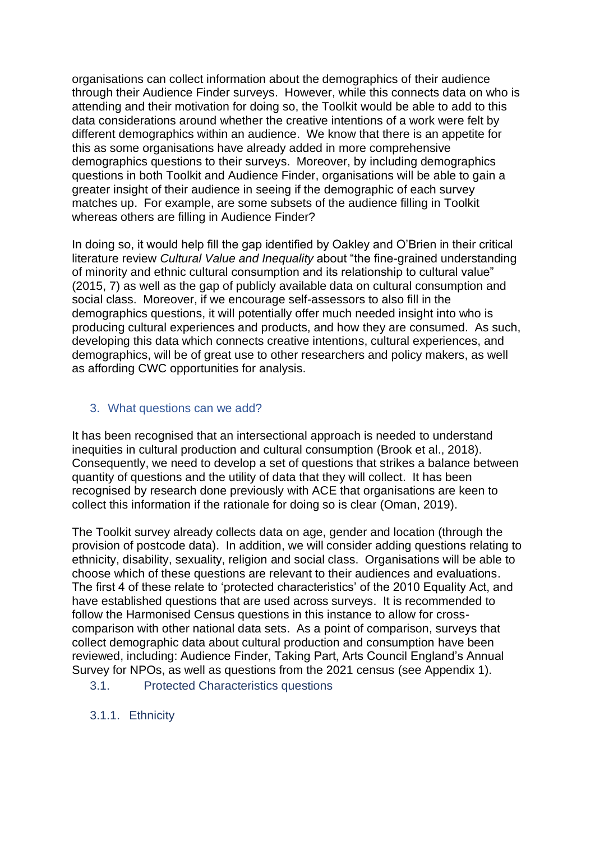organisations can collect information about the demographics of their audience through their Audience Finder surveys. However, while this connects data on who is attending and their motivation for doing so, the Toolkit would be able to add to this data considerations around whether the creative intentions of a work were felt by different demographics within an audience. We know that there is an appetite for this as some organisations have already added in more comprehensive demographics questions to their surveys. Moreover, by including demographics questions in both Toolkit and Audience Finder, organisations will be able to gain a greater insight of their audience in seeing if the demographic of each survey matches up. For example, are some subsets of the audience filling in Toolkit whereas others are filling in Audience Finder?

In doing so, it would help fill the gap identified by Oakley and O'Brien in their critical literature review *Cultural Value and Inequality* about "the fine-grained understanding of minority and ethnic cultural consumption and its relationship to cultural value" (2015, 7) as well as the gap of publicly available data on cultural consumption and social class. Moreover, if we encourage self-assessors to also fill in the demographics questions, it will potentially offer much needed insight into who is producing cultural experiences and products, and how they are consumed. As such, developing this data which connects creative intentions, cultural experiences, and demographics, will be of great use to other researchers and policy makers, as well as affording CWC opportunities for analysis.

## <span id="page-4-0"></span>3. What questions can we add?

It has been recognised that an intersectional approach is needed to understand inequities in cultural production and cultural consumption (Brook et al., 2018). Consequently, we need to develop a set of questions that strikes a balance between quantity of questions and the utility of data that they will collect. It has been recognised by research done previously with ACE that organisations are keen to collect this information if the rationale for doing so is clear (Oman, 2019).

The Toolkit survey already collects data on age, gender and location (through the provision of postcode data). In addition, we will consider adding questions relating to ethnicity, disability, sexuality, religion and social class. Organisations will be able to choose which of these questions are relevant to their audiences and evaluations. The first 4 of these relate to 'protected characteristics' of the 2010 Equality Act, and have established questions that are used across surveys. It is recommended to follow the Harmonised Census questions in this instance to allow for crosscomparison with other national data sets. As a point of comparison, surveys that collect demographic data about cultural production and consumption have been reviewed, including: Audience Finder, Taking Part, Arts Council England's Annual Survey for NPOs, as well as questions from the 2021 census (see Appendix 1).

<span id="page-4-1"></span>3.1. Protected Characteristics questions

<span id="page-4-2"></span>3.1.1. Ethnicity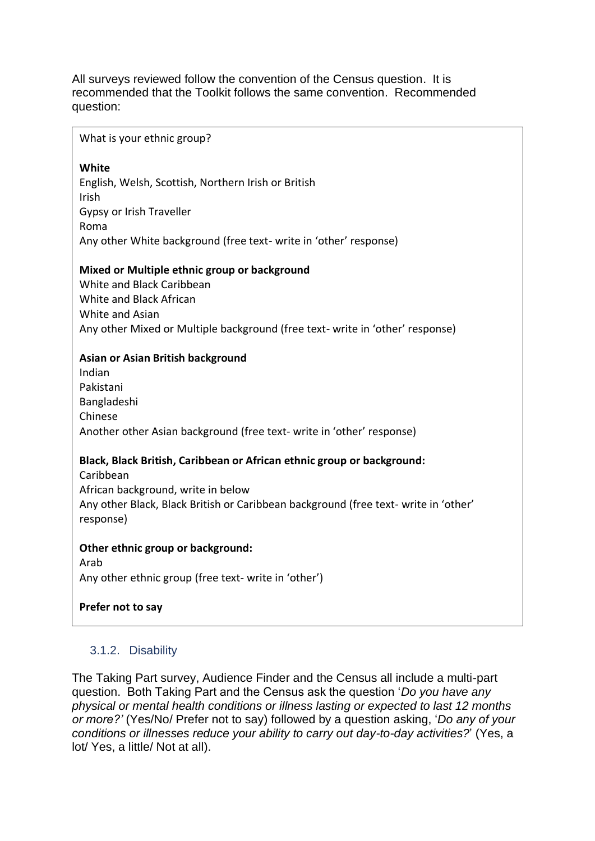All surveys reviewed follow the convention of the Census question. It is recommended that the Toolkit follows the same convention. Recommended question:

#### What is your ethnic group?

### **White**

English, Welsh, Scottish, Northern Irish or British Irish Gypsy or Irish Traveller Roma Any other White background (free text- write in 'other' response)

### **Mixed or Multiple ethnic group or background**

White and Black Caribbean White and Black African White and Asian Any other Mixed or Multiple background (free text- write in 'other' response)

### **Asian or Asian British background**

Indian Pakistani Bangladeshi Chinese Another other Asian background (free text- write in 'other' response)

# **Black, Black British, Caribbean or African ethnic group or background:**

Caribbean African background, write in below Any other Black, Black British or Caribbean background (free text- write in 'other' response)

### **Other ethnic group or background:**

Arab Any other ethnic group (free text- write in 'other')

### **Prefer not to say**

# <span id="page-5-0"></span>3.1.2. Disability

The Taking Part survey, Audience Finder and the Census all include a multi-part question. Both Taking Part and the Census ask the question '*Do you have any physical or mental health conditions or illness lasting or expected to last 12 months or more?'* (Yes/No/ Prefer not to say) followed by a question asking, '*Do any of your conditions or illnesses reduce your ability to carry out day-to-day activities?*' (Yes, a lot/ Yes, a little/ Not at all).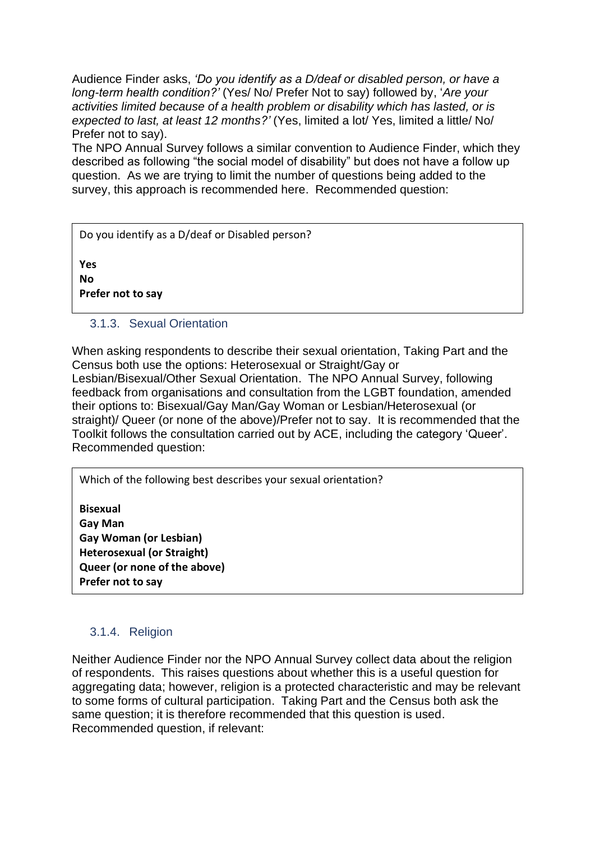Audience Finder asks, *'Do you identify as a D/deaf or disabled person, or have a long-term health condition?'* (Yes/ No/ Prefer Not to say) followed by, '*Are your activities limited because of a health problem or disability which has lasted, or is expected to last, at least 12 months?'* (Yes, limited a lot/ Yes, limited a little/ No/ Prefer not to say).

The NPO Annual Survey follows a similar convention to Audience Finder, which they described as following "the social model of disability" but does not have a follow up question. As we are trying to limit the number of questions being added to the survey, this approach is recommended here. Recommended question:

Do you identify as a D/deaf or Disabled person?

**Yes No Prefer not to say**

# <span id="page-6-0"></span>3.1.3. Sexual Orientation

When asking respondents to describe their sexual orientation, Taking Part and the Census both use the options: Heterosexual or Straight/Gay or Lesbian/Bisexual/Other Sexual Orientation. The NPO Annual Survey, following feedback from organisations and consultation from the LGBT foundation, amended their options to: Bisexual/Gay Man/Gay Woman or Lesbian/Heterosexual (or straight)/ Queer (or none of the above)/Prefer not to say. It is recommended that the Toolkit follows the consultation carried out by ACE, including the category 'Queer'. Recommended question:

Which of the following best describes your sexual orientation?

**Bisexual Gay Man Gay Woman (or Lesbian) Heterosexual (or Straight) Queer (or none of the above) Prefer not to say**

# <span id="page-6-1"></span>3.1.4. Religion

Neither Audience Finder nor the NPO Annual Survey collect data about the religion of respondents. This raises questions about whether this is a useful question for aggregating data; however, religion is a protected characteristic and may be relevant to some forms of cultural participation. Taking Part and the Census both ask the same question; it is therefore recommended that this question is used. Recommended question, if relevant: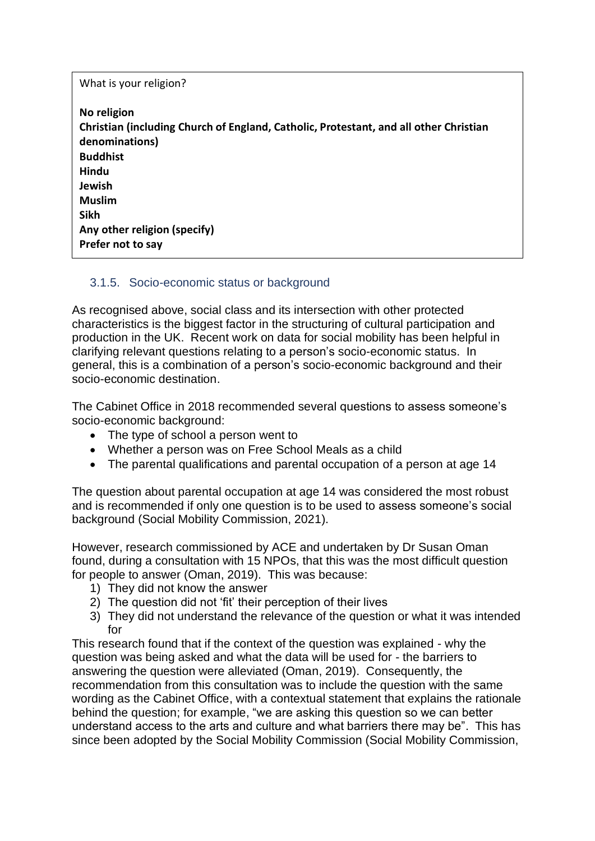What is your religion? **No religion Christian (including Church of England, Catholic, Protestant, and all other Christian denominations) Buddhist Hindu Jewish Muslim Sikh Any other religion (specify) Prefer not to say**

# <span id="page-7-0"></span>3.1.5. Socio-economic status or background

As recognised above, social class and its intersection with other protected characteristics is the biggest factor in the structuring of cultural participation and production in the UK. Recent work on data for social mobility has been helpful in clarifying relevant questions relating to a person's socio-economic status. In general, this is a combination of a person's socio-economic background and their socio-economic destination.

The Cabinet Office in 2018 recommended several questions to assess someone's socio-economic background:

- The type of school a person went to
- Whether a person was on Free School Meals as a child
- The parental qualifications and parental occupation of a person at age 14

The question about parental occupation at age 14 was considered the most robust and is recommended if only one question is to be used to assess someone's social background (Social Mobility Commission, 2021).

However, research commissioned by ACE and undertaken by Dr Susan Oman found, during a consultation with 15 NPOs, that this was the most difficult question for people to answer (Oman, 2019). This was because:

- 1) They did not know the answer
- 2) The question did not 'fit' their perception of their lives
- 3) They did not understand the relevance of the question or what it was intended for

This research found that if the context of the question was explained - why the question was being asked and what the data will be used for - the barriers to answering the question were alleviated (Oman, 2019). Consequently, the recommendation from this consultation was to include the question with the same wording as the Cabinet Office, with a contextual statement that explains the rationale behind the question; for example, "we are asking this question so we can better understand access to the arts and culture and what barriers there may be". This has since been adopted by the Social Mobility Commission (Social Mobility Commission,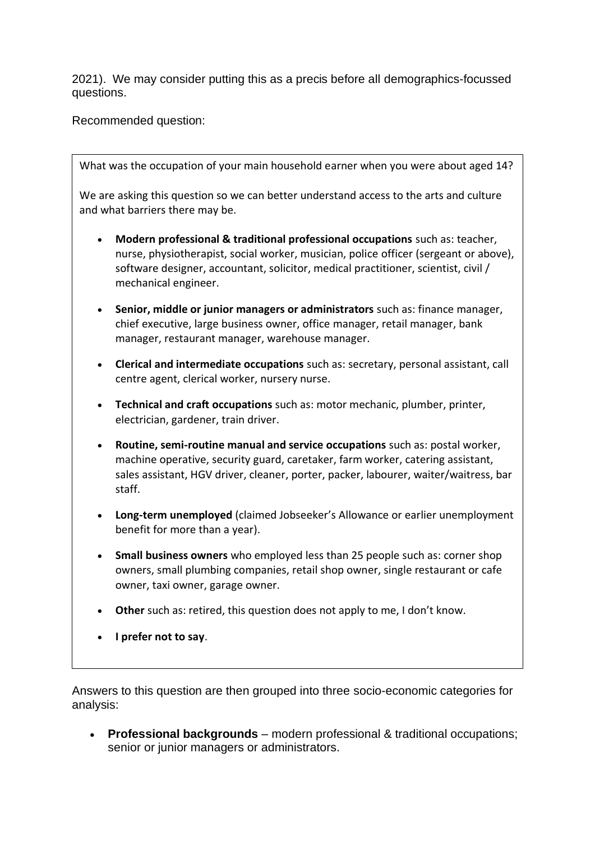2021). We may consider putting this as a precis before all demographics-focussed questions.

Recommended question:

What was the occupation of your main household earner when you were about aged 14?

We are asking this question so we can better understand access to the arts and culture and what barriers there may be.

- **Modern professional & traditional professional occupations** such as: teacher, nurse, physiotherapist, social worker, musician, police officer (sergeant or above), software designer, accountant, solicitor, medical practitioner, scientist, civil / mechanical engineer.
- **Senior, middle or junior managers or administrators** such as: finance manager, chief executive, large business owner, office manager, retail manager, bank manager, restaurant manager, warehouse manager.
- **Clerical and intermediate occupations** such as: secretary, personal assistant, call centre agent, clerical worker, nursery nurse.
- **Technical and craft occupations** such as: motor mechanic, plumber, printer, electrician, gardener, train driver.
- **Routine, semi-routine manual and service occupations** such as: postal worker, machine operative, security guard, caretaker, farm worker, catering assistant, sales assistant, HGV driver, cleaner, porter, packer, labourer, waiter/waitress, bar staff.
- **Long-term unemployed** (claimed Jobseeker's Allowance or earlier unemployment benefit for more than a year).
- **Small business owners** who employed less than 25 people such as: corner shop owners, small plumbing companies, retail shop owner, single restaurant or cafe owner, taxi owner, garage owner.
- **Other** such as: retired, this question does not apply to me, I don't know.
- **I prefer not to say**.

Answers to this question are then grouped into three socio-economic categories for analysis:

• **Professional backgrounds** – modern professional & traditional occupations; senior or junior managers or administrators.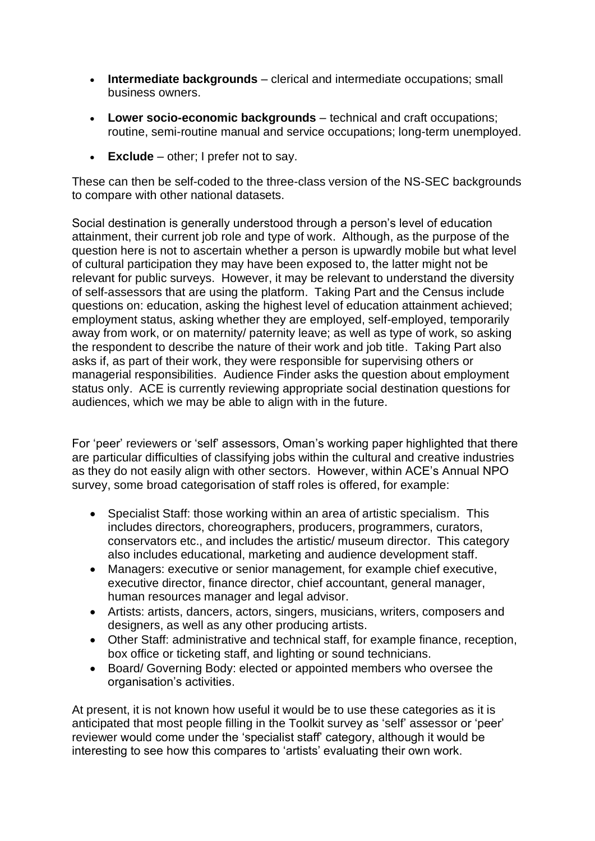- **Intermediate backgrounds** clerical and intermediate occupations; small business owners.
- **Lower socio-economic backgrounds** technical and craft occupations; routine, semi-routine manual and service occupations; long-term unemployed.
- **Exclude** other; I prefer not to say.

These can then be self-coded to the three-class version of the NS-SEC backgrounds to compare with other national datasets.

Social destination is generally understood through a person's level of education attainment, their current job role and type of work. Although, as the purpose of the question here is not to ascertain whether a person is upwardly mobile but what level of cultural participation they may have been exposed to, the latter might not be relevant for public surveys. However, it may be relevant to understand the diversity of self-assessors that are using the platform. Taking Part and the Census include questions on: education, asking the highest level of education attainment achieved; employment status, asking whether they are employed, self-employed, temporarily away from work, or on maternity/ paternity leave; as well as type of work, so asking the respondent to describe the nature of their work and job title. Taking Part also asks if, as part of their work, they were responsible for supervising others or managerial responsibilities. Audience Finder asks the question about employment status only. ACE is currently reviewing appropriate social destination questions for audiences, which we may be able to align with in the future.

For 'peer' reviewers or 'self' assessors, Oman's working paper highlighted that there are particular difficulties of classifying jobs within the cultural and creative industries as they do not easily align with other sectors. However, within ACE's Annual NPO survey, some broad categorisation of staff roles is offered, for example:

- Specialist Staff: those working within an area of artistic specialism. This includes directors, choreographers, producers, programmers, curators, conservators etc., and includes the artistic/ museum director. This category also includes educational, marketing and audience development staff.
- Managers: executive or senior management, for example chief executive, executive director, finance director, chief accountant, general manager, human resources manager and legal advisor.
- Artists: artists, dancers, actors, singers, musicians, writers, composers and designers, as well as any other producing artists.
- Other Staff: administrative and technical staff, for example finance, reception, box office or ticketing staff, and lighting or sound technicians.
- Board/ Governing Body: elected or appointed members who oversee the organisation's activities.

At present, it is not known how useful it would be to use these categories as it is anticipated that most people filling in the Toolkit survey as 'self' assessor or 'peer' reviewer would come under the 'specialist staff' category, although it would be interesting to see how this compares to 'artists' evaluating their own work.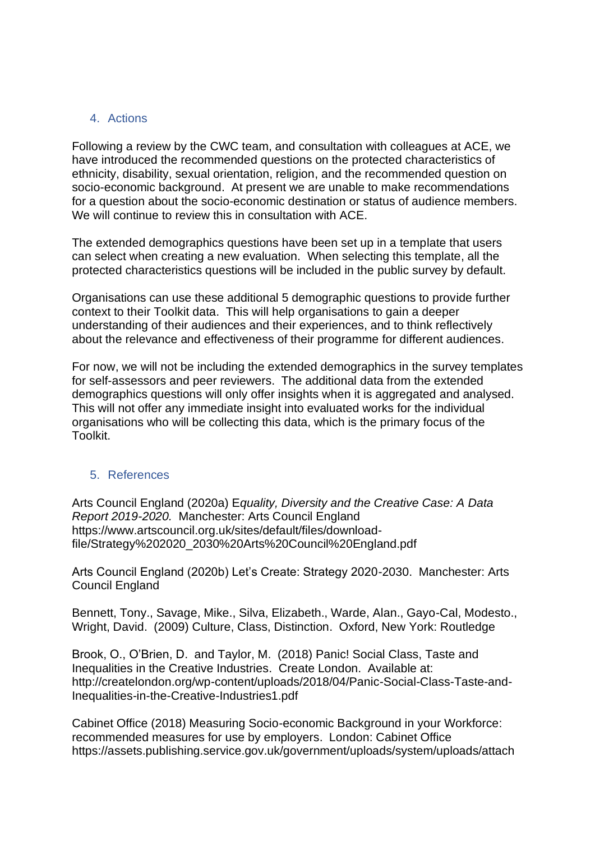## 4. Actions

Following a review by the CWC team, and consultation with colleagues at ACE, we have introduced the recommended questions on the protected characteristics of ethnicity, disability, sexual orientation, religion, and the recommended question on socio-economic background. At present we are unable to make recommendations for a question about the socio-economic destination or status of audience members. We will continue to review this in consultation with ACE.

The extended demographics questions have been set up in a template that users can select when creating a new evaluation. When selecting this template, all the protected characteristics questions will be included in the public survey by default.

Organisations can use these additional 5 demographic questions to provide further context to their Toolkit data. This will help organisations to gain a deeper understanding of their audiences and their experiences, and to think reflectively about the relevance and effectiveness of their programme for different audiences.

For now, we will not be including the extended demographics in the survey templates for self-assessors and peer reviewers. The additional data from the extended demographics questions will only offer insights when it is aggregated and analysed. This will not offer any immediate insight into evaluated works for the individual organisations who will be collecting this data, which is the primary focus of the Toolkit.

## <span id="page-10-0"></span>5. References

Arts Council England (2020a) E*quality, Diversity and the Creative Case: A Data Report 2019-2020.* Manchester: Arts Council England https://www.artscouncil.org.uk/sites/default/files/downloadfile/Strategy%202020\_2030%20Arts%20Council%20England.pdf

Arts Council England (2020b) Let's Create: Strategy 2020-2030. Manchester: Arts Council England

Bennett, Tony., Savage, Mike., Silva, Elizabeth., Warde, Alan., Gayo-Cal, Modesto., Wright, David. (2009) Culture, Class, Distinction. Oxford, New York: Routledge

Brook, O., O'Brien, D. and Taylor, M. (2018) Panic! Social Class, Taste and Inequalities in the Creative Industries. Create London. Available at: http://createlondon.org/wp-content/uploads/2018/04/Panic-Social-Class-Taste-and-Inequalities-in-the-Creative-Industries1.pdf

Cabinet Office (2018) Measuring Socio-economic Background in your Workforce: recommended measures for use by employers. London: Cabinet Office https://assets.publishing.service.gov.uk/government/uploads/system/uploads/attach